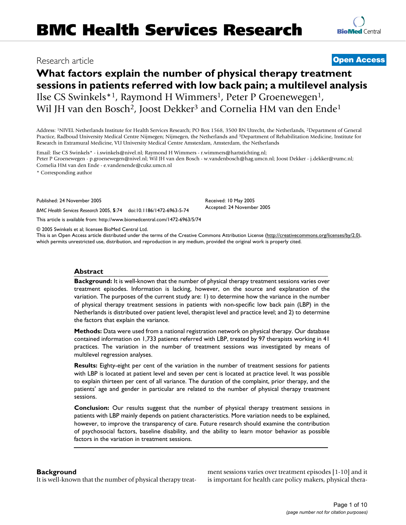# Research article **[Open Access](http://www.biomedcentral.com/info/about/charter/)**

# **What factors explain the number of physical therapy treatment sessions in patients referred with low back pain; a multilevel analysis** Ilse CS Swinkels<sup>\*1</sup>, Raymond H Wimmers<sup>1</sup>, Peter P Groenewegen<sup>1</sup>, Wil JH van den Bosch<sup>2</sup>, Joost Dekker<sup>3</sup> and Cornelia HM van den Ende<sup>1</sup>

Address: 1NIVEL Netherlands Institute for Health Services Research; PO Box 1568, 3500 BN Utrecht, the Netherlands, 2Department of General Practice, Radboud University Medical Centre Nijmegen; Nijmegen, the Netherlands and 3Department of Rehabilitation Medicine, Institute for Research in Extramural Medicine, VU University Medical Centre Amsterdam, Amsterdam, the Netherlands

Email: Ilse CS Swinkels\* - i.swinkels@nivel.nl; Raymond H Wimmers - r.wimmers@hartstichting.nl; Peter P Groenewegen - p.groenewegen@nivel.nl; Wil JH van den Bosch - w.vandenbosch@hag.umcn.nl; Joost Dekker - j.dekker@vumc.nl; Cornelia HM van den Ende - e.vandenende@cukz.umcn.nl

\* Corresponding author

Published: 24 November 2005

*BMC Health Services Research* 2005, **5**:74 doi:10.1186/1472-6963-5-74

[This article is available from: http://www.biomedcentral.com/1472-6963/5/74](http://www.biomedcentral.com/1472-6963/5/74)

© 2005 Swinkels et al; licensee BioMed Central Ltd.

This is an Open Access article distributed under the terms of the Creative Commons Attribution License [\(http://creativecommons.org/licenses/by/2.0\)](http://creativecommons.org/licenses/by/2.0), which permits unrestricted use, distribution, and reproduction in any medium, provided the original work is properly cited.

Received: 10 May 2005 Accepted: 24 November 2005

# **Abstract**

**Background:** It is well-known that the number of physical therapy treatment sessions varies over treatment episodes. Information is lacking, however, on the source and explanation of the variation. The purposes of the current study are: 1) to determine how the variance in the number of physical therapy treatment sessions in patients with non-specific low back pain (LBP) in the Netherlands is distributed over patient level, therapist level and practice level; and 2) to determine the factors that explain the variance.

**Methods:** Data were used from a national registration network on physical therapy. Our database contained information on 1,733 patients referred with LBP, treated by 97 therapists working in 41 practices. The variation in the number of treatment sessions was investigated by means of multilevel regression analyses.

**Results:** Eighty-eight per cent of the variation in the number of treatment sessions for patients with LBP is located at patient level and seven per cent is located at practice level. It was possible to explain thirteen per cent of all variance. The duration of the complaint, prior therapy, and the patients' age and gender in particular are related to the number of physical therapy treatment sessions.

**Conclusion:** Our results suggest that the number of physical therapy treatment sessions in patients with LBP mainly depends on patient characteristics. More variation needs to be explained, however, to improve the transparency of care. Future research should examine the contribution of psychosocial factors, baseline disability, and the ability to learn motor behavior as possible factors in the variation in treatment sessions.

# **Background**

It is well-known that the number of physical therapy treat-

ment sessions varies over treatment episodes [1-10] and it is important for health care policy makers, physical thera-

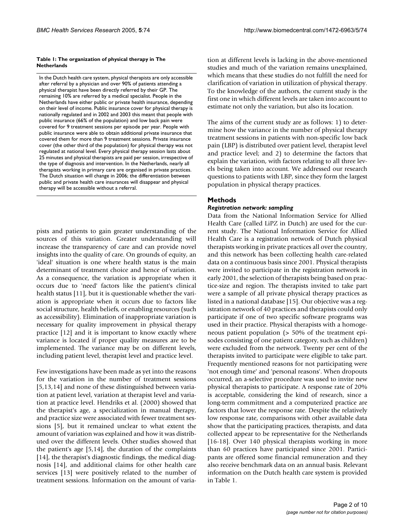#### **Table 1: The organization of physical therapy in The Netherlands**

In the Dutch health care system, physical therapists are only accessible after referral by a physician and over 90% of patients attending a physical therapist have been directly referred by their GP. The remaining 10% are referred by a medical specialist. People in the Netherlands have either public or private health insurance, depending on their level of income. Public insurance cover for physical therapy is nationally regulated and in 2002 and 2003 this meant that people with public insurance (66% of the population) and low back pain were covered for 9 treatment sessions per episode per year. People with public insurance were able to obtain additional private insurance that covered them for more than 9 treatment sessions. Private insurance cover (the other third of the population) for physical therapy was not regulated at national level. Every physical therapy session lasts about 25 minutes and physical therapists are paid per session, irrespective of the type of diagnosis and intervention. In the Netherlands, nearly all therapists working in primary care are organised in private practices. The Dutch situation will change in 2006; the differentiation between public and private health care insurances will disappear and physical therapy will be accessible without a referral.

pists and patients to gain greater understanding of the sources of this variation. Greater understanding will increase the transparency of care and can provide novel insights into the quality of care. On grounds of equity, an 'ideal' situation is one where health status is the main determinant of treatment choice and hence of variation. As a consequence, the variation is appropriate when it occurs due to 'need' factors like the patient's clinical health status [11], but it is questionable whether the variation is appropriate when it occurs due to factors like social structure, health beliefs, or enabling resources (such as accessibility). Elimination of inappropriate variation is necessary for quality improvement in physical therapy practice [12] and it is important to know exactly where variance is located if proper quality measures are to be implemented. The variance may be on different levels, including patient level, therapist level and practice level.

Few investigations have been made as yet into the reasons for the variation in the number of treatment sessions [5,13,14] and none of these distinguished between variation at patient level, variation at therapist level and variation at practice level. Hendriks et al. (2000) showed that the therapist's age, a specialization in manual therapy, and practice size were associated with fewer treatment sessions [5], but it remained unclear to what extent the amount of variation was explained and how it was distributed over the different levels. Other studies showed that the patient's age [5,14], the duration of the complaints [14], the therapist's diagnostic findings, the medical diagnosis [14], and additional claims for other health care services [13] were positively related to the number of treatment sessions. Information on the amount of variation at different levels is lacking in the above-mentioned studies and much of the variation remains unexplained, which means that these studies do not fulfill the need for clarification of variation in utilization of physical therapy. To the knowledge of the authors, the current study is the first one in which different levels are taken into account to estimate not only the variation, but also its location.

The aims of the current study are as follows: 1) to determine how the variance in the number of physical therapy treatment sessions in patients with non-specific low back pain (LBP) is distributed over patient level, therapist level and practice level; and 2) to determine the factors that explain the variation, with factors relating to all three levels being taken into account. We addressed our research questions to patients with LBP, since they form the largest population in physical therapy practices.

# **Methods**

# *Registration network: sampling*

Data from the National Information Service for Allied Health Care (called LiPZ in Dutch) are used for the current study. The National Information Service for Allied Health Care is a registration network of Dutch physical therapists working in private practices all over the country, and this network has been collecting health care-related data on a continuous basis since 2001. Physical therapists were invited to participate in the registration network in early 2001, the selection of therapists being based on practice-size and region. The therapists invited to take part were a sample of all private physical therapy practices as listed in a national database [15]. Our objective was a registration network of 40 practices and therapists could only participate if one of two specific software programs was used in their practice. Physical therapists with a homogeneous patient population (> 50% of the treatment episodes consisting of one patient category, such as children) were excluded from the network. Twenty per cent of the therapists invited to participate were eligible to take part. Frequently mentioned reasons for not participating were 'not enough time' and 'personal reasons'. When dropouts occurred, an a-selective procedure was used to invite new physical therapists to participate. A response rate of 20% is acceptable, considering the kind of research, since a long-term commitment and a computerized practice are factors that lower the response rate. Despite the relatively low response rate, comparisons with other available data show that the participating practices, therapists, and data collected appear to be representative for the Netherlands [16-18]. Over 140 physical therapists working in more than 60 practices have participated since 2001. Participants are offered some financial remuneration and they also receive benchmark data on an annual basis. Relevant information on the Dutch health care system is provided in Table 1.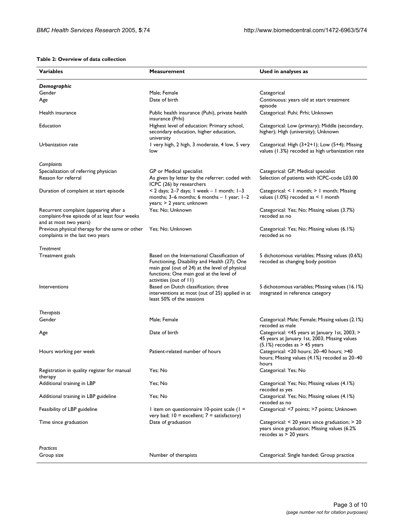# **Table 2: Overview of data collection**

| <b>Variables</b>                                                                                                  | <b>Measurement</b>                                                                                                                                                                         | Used in analyses as                                                                                                               |
|-------------------------------------------------------------------------------------------------------------------|--------------------------------------------------------------------------------------------------------------------------------------------------------------------------------------------|-----------------------------------------------------------------------------------------------------------------------------------|
| Demographic                                                                                                       |                                                                                                                                                                                            |                                                                                                                                   |
| Gender                                                                                                            | Male; Female                                                                                                                                                                               | Categorical                                                                                                                       |
| Age                                                                                                               | Date of birth                                                                                                                                                                              | Continuous: years old at start treatment<br>episode                                                                               |
| Health insurance                                                                                                  | Public health insurance (Puhi), private health<br>insurance (Prhi)                                                                                                                         | Categorical: Puhi; Prhi; Unknown                                                                                                  |
| Education                                                                                                         | Highest level of education: Primary school,<br>secondary education, higher education,<br>university                                                                                        | Categorical: Low (primary); Middle (secondary,<br>higher); High (university); Unknown                                             |
| Urbanization rate                                                                                                 | I very high, 2 high, 3 moderate, 4 low, 5 very<br>low                                                                                                                                      | Categorical: High (3+2+1); Low (5+4); Missing<br>values (1.3%) recoded as high urbanization rate                                  |
| Complaints                                                                                                        |                                                                                                                                                                                            |                                                                                                                                   |
| Specialization of referring physician                                                                             | GP or Medical specialist                                                                                                                                                                   | Categorical: GP; Medical specialist                                                                                               |
| Reason for referral                                                                                               | As given by letter by the referrer; coded with<br>ICPC (26) by researchers                                                                                                                 | Selection of patients with ICPC-code L03.00                                                                                       |
| Duration of complaint at start episode                                                                            | < 2 days; $2-7$ days; I week $-1$ month; $1-3$<br>months; $3-6$ months; 6 months $-1$ year; $1-2$<br>years; > 2 years; unknown                                                             | Categorical: < 1 month; > 1 month; Missing<br>values (1.0%) recoded as < 1 month                                                  |
| Recurrent complaint (appearing after a<br>complaint-free episode of at least four weeks<br>and at most two years) | Yes; No; Unknown                                                                                                                                                                           | Categorical: Yes; No; Missing values (3.7%)<br>recoded as no                                                                      |
| Previous physical therapy for the same or other<br>complaints in the last two years                               | Yes; No; Unknown                                                                                                                                                                           | Categorical: Yes; No; Missing values (6.1%)<br>recoded as no                                                                      |
| <b>Treatment</b>                                                                                                  |                                                                                                                                                                                            |                                                                                                                                   |
| Treatment goals                                                                                                   | Based on the International Classification of<br>Functioning, Disability and Health (27); One<br>main goal (out of 24) at the level of physical<br>functions; One main goal at the level of | 5 dichotomous variables; Missing values (0.6%)<br>recoded as changing body position                                               |
| Interventions                                                                                                     | activities (out of II)<br>Based on Dutch classification; three<br>interventions at most (out of 25) applied in at<br>least 50% of the sessions                                             | 5 dichotomous variables; Missing values (16.1%)<br>integrated in reference category                                               |
| <b>Therapists</b>                                                                                                 |                                                                                                                                                                                            |                                                                                                                                   |
| Gender                                                                                                            | Male; Female                                                                                                                                                                               | Categorical: Male; Female; Missing values (2.1%)<br>recoded as male                                                               |
| Age                                                                                                               | Date of birth                                                                                                                                                                              | Categorical: <45 years at January 1st, 2003; ><br>45 years at January 1st, 2003; Missing values<br>$(5.1%)$ recodes as > 45 years |
| Hours working per week                                                                                            | Patient-related number of hours                                                                                                                                                            | Categorical: <20 hours; 20-40 hours; >40<br>hours; Missing values (4.1%) recoded as 20-40<br>hours                                |
| Registration in quality register for manual<br>therapy                                                            | Yes; No                                                                                                                                                                                    | Categorical: Yes; No                                                                                                              |
| Additional training in LBP                                                                                        | Yes; No                                                                                                                                                                                    | Categorical: Yes; No; Missing values (4.1%)<br>recoded as yes                                                                     |
| Additional training in LBP guideline                                                                              | Yes; No                                                                                                                                                                                    | Categorical: Yes; No; Missing values (4.1%)<br>recoded as no                                                                      |
| Feasibility of LBP guideline                                                                                      | I item on questionnaire 10-point scale $(1 =$<br>very bad; $10 =$ excellent; $7 =$ satisfactory)                                                                                           | Categorical: <7 points; >7 points; Unknown                                                                                        |
| Time since graduation                                                                                             | Date of graduation                                                                                                                                                                         | Categorical: < 20 years since graduation; > 20<br>years since graduation; Missing values (6.2%)<br>recodes as > 20 years.         |
| Practices                                                                                                         |                                                                                                                                                                                            |                                                                                                                                   |
| Group size                                                                                                        | Number of therapists                                                                                                                                                                       | Categorical: Single handed; Group practice                                                                                        |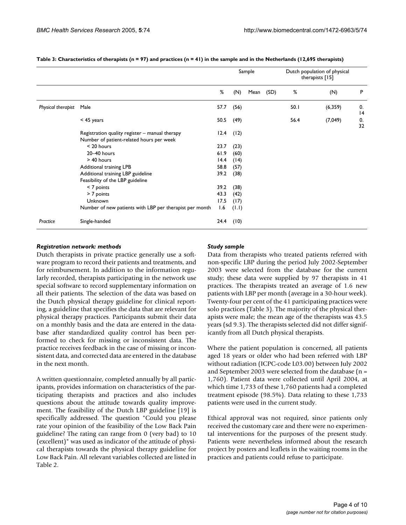|                    |                                                                                            | Sample |       | Dutch population of physical<br>therapists [15] |      |      |         |          |
|--------------------|--------------------------------------------------------------------------------------------|--------|-------|-------------------------------------------------|------|------|---------|----------|
|                    |                                                                                            | %      | (N)   | Mean                                            | (SD) | %    | (N)     | P        |
| Physical therapist | Male                                                                                       | 57.7   | (56)  |                                                 |      | 50.1 | (6,359) | 0.<br> 4 |
|                    | < 45 years                                                                                 | 50.5   | (49)  |                                                 |      | 56.4 | (7,049) | 0.<br>32 |
|                    | Registration quality register – manual therapy<br>Number of patient-related hours per week | 12.4   | (12)  |                                                 |      |      |         |          |
|                    | $< 20$ hours                                                                               | 23.7   | (23)  |                                                 |      |      |         |          |
|                    | 20-40 hours                                                                                | 61.9   | (60)  |                                                 |      |      |         |          |
|                    | > 40 hours                                                                                 | 14.4   | (14)  |                                                 |      |      |         |          |
|                    | Additional training LPB                                                                    |        | (57)  |                                                 |      |      |         |          |
|                    | Additional training LBP guideline<br>Feasibility of the LBP guideline                      | 39.2   | (38)  |                                                 |      |      |         |          |
|                    | $< 7$ points                                                                               | 39.2   | (38)  |                                                 |      |      |         |          |
|                    | > 7 points                                                                                 | 43.3   | (42)  |                                                 |      |      |         |          |
|                    | <b>Unknown</b>                                                                             | 17.5   | (17)  |                                                 |      |      |         |          |
|                    | Number of new patients with LBP per therapist per month                                    | 1.6    | (1.1) |                                                 |      |      |         |          |
| Practice           | Single-handed                                                                              | 24.4   | (10)  |                                                 |      |      |         |          |

**Table 3: Characteristics of therapists (n = 97) and practices (n = 41) in the sample and in the Netherlands (12,695 therapists)**

#### *Registration network: methods*

Dutch therapists in private practice generally use a software program to record their patients and treatments, and for reimbursement. In addition to the information regularly recorded, therapists participating in the network use special software to record supplementary information on all their patients. The selection of the data was based on the Dutch physical therapy guideline for clinical reporting, a guideline that specifies the data that are relevant for physical therapy practices. Participants submit their data on a monthly basis and the data are entered in the database after standardized quality control has been performed to check for missing or inconsistent data. The practice receives feedback in the case of missing or inconsistent data, and corrected data are entered in the database in the next month.

A written questionnaire, completed annually by all participants, provides information on characteristics of the participating therapists and practices and also includes questions about the attitude towards quality improvement. The feasibility of the Dutch LBP guideline [19] is specifically addressed. The question "Could you please rate your opinion of the feasibility of the Low Back Pain guideline? The rating can range from 0 (very bad) to 10 (excellent)" was used as indicator of the attitude of physical therapists towards the physical therapy guideline for Low Back Pain. All relevant variables collected are listed in Table 2.

#### *Study sample*

Data from therapists who treated patients referred with non-specific LBP during the period July 2002-September 2003 were selected from the database for the current study; these data were supplied by 97 therapists in 41 practices. The therapists treated an average of 1.6 new patients with LBP per month (average in a 30-hour week). Twenty-four per cent of the 41 participating practices were solo practices (Table 3). The majority of the physical therapists were male; the mean age of the therapists was 43.5 years (sd 9.3). The therapists selected did not differ significantly from all Dutch physical therapists.

Where the patient population is concerned, all patients aged 18 years or older who had been referred with LBP without radiation (ICPC-code L03.00) between July 2002 and September 2003 were selected from the database (n = 1,760). Patient data were collected until April 2004, at which time 1,733 of these 1,760 patients had a completed treatment episode (98.5%). Data relating to these 1,733 patients were used in the current study.

Ethical approval was not required, since patients only received the customary care and there were no experimental interventions for the purposes of the present study. Patients were nevertheless informed about the research project by posters and leaflets in the waiting rooms in the practices and patients could refuse to participate.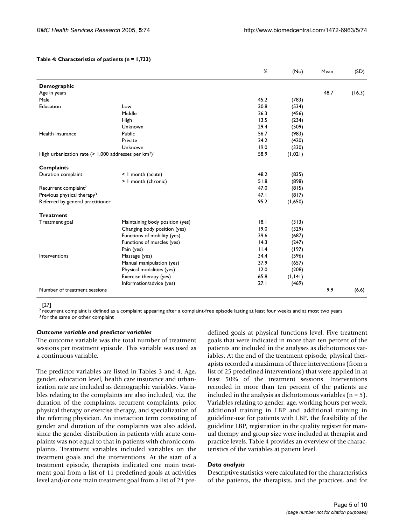|                                                                                 |                                 | %    | (No)     | Mean | (SD)   |
|---------------------------------------------------------------------------------|---------------------------------|------|----------|------|--------|
| Demographic                                                                     |                                 |      |          |      |        |
| Age in years                                                                    |                                 |      |          | 48.7 | (16.3) |
| Male                                                                            |                                 | 45.2 | (783)    |      |        |
| Education                                                                       | Low                             | 30.8 | (534)    |      |        |
|                                                                                 | Middle                          | 26.3 | (456)    |      |        |
|                                                                                 | High                            | 13.5 | (234)    |      |        |
|                                                                                 | Unknown                         | 29.4 | (509)    |      |        |
| Health insurance                                                                | Public                          | 56.7 | (983)    |      |        |
|                                                                                 | Private                         | 24.2 | (420)    |      |        |
|                                                                                 | Unknown                         | 19.0 | (330)    |      |        |
| High urbanization rate ( $> 1,000$ addresses per km <sup>2</sup> ) <sup>1</sup> |                                 | 58.9 | (1,021)  |      |        |
| <b>Complaints</b>                                                               |                                 |      |          |      |        |
| Duration complaint                                                              | < 1 month (acute)               | 48.2 | (835)    |      |        |
|                                                                                 | > 1 month (chronic)             | 51.8 | (898)    |      |        |
| Recurrent complaint <sup>2</sup>                                                |                                 | 47.0 | (815)    |      |        |
| Previous physical therapy <sup>3</sup>                                          |                                 | 47.1 | (817)    |      |        |
| Referred by general practitioner                                                |                                 | 95.2 | (1,650)  |      |        |
| <b>Treatment</b>                                                                |                                 |      |          |      |        |
| Treatment goal                                                                  | Maintaining body position (yes) | 8.1  | (313)    |      |        |
|                                                                                 | Changing body position (yes)    | 19.0 | (329)    |      |        |
|                                                                                 | Functions of mobility (yes)     | 39.6 | (687)    |      |        |
|                                                                                 | Functions of muscles (yes)      | 14.3 | (247)    |      |        |
|                                                                                 | Pain (yes)                      | 11.4 | (197)    |      |        |
| Interventions                                                                   | Massage (yes)                   | 34.4 | (596)    |      |        |
|                                                                                 | Manual manipulation (yes)       | 37.9 | (657)    |      |        |
|                                                                                 | Physical modalities (yes)       | 12.0 | (208)    |      |        |
|                                                                                 | Exercise therapy (yes)          | 65.8 | (1, 141) |      |        |
|                                                                                 | Information/advice (yes)        | 27.1 | (469)    |      |        |
| Number of treatment sessions                                                    |                                 |      |          | 9.9  | (6.6)  |

 $| 271$ 

<sup>2</sup> recurrent complaint is defined as a complaint appearing after a complaint-free episode lasting at least four weeks and at most two years

<sup>3</sup> for the same or other complaint

#### *Outcome variable and predictor variables*

The outcome variable was the total number of treatment sessions per treatment episode. This variable was used as a continuous variable.

The predictor variables are listed in Tables 3 and 4. Age, gender, education level, health care insurance and urbanization rate are included as demographic variables. Variables relating to the complaints are also included, viz. the duration of the complaints, recurrent complaints, prior physical therapy or exercise therapy, and specialization of the referring physician. An interaction term consisting of gender and duration of the complaints was also added, since the gender distribution in patients with acute complaints was not equal to that in patients with chronic complaints. Treatment variables included variables on the treatment goals and the interventions. At the start of a treatment episode, therapists indicated one main treatment goal from a list of 11 predefined goals at activities level and/or one main treatment goal from a list of 24 predefined goals at physical functions level. Five treatment goals that were indicated in more than ten percent of the patients are included in the analyses as dichotomous variables. At the end of the treatment episode, physical therapists recorded a maximum of three interventions (from a list of 25 predefined interventions) that were applied in at least 50% of the treatment sessions. Interventions recorded in more than ten percent of the patients are included in the analysis as dichotomous variables  $(n = 5)$ . Variables relating to gender, age, working hours per week, additional training in LBP and additional training in guideline-use for patients with LBP, the feasibility of the guideline LBP, registration in the quality register for manual therapy and group size were included at therapist and practice levels. Table 4 provides an overview of the characteristics of the variables at patient level.

#### *Data analysis*

Descriptive statistics were calculated for the characteristics of the patients, the therapists, and the practices, and for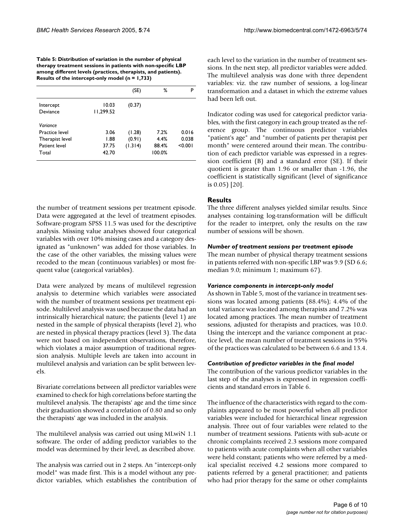**Table 5: Distribution of variation in the number of physical therapy treatment sessions in patients with non-specific LBP among different levels (practices, therapists, and patients). Results of the intercept-only model (n = 1,733)**

|                                                                         |                                | (SE)                        | ℅                               | P                         |
|-------------------------------------------------------------------------|--------------------------------|-----------------------------|---------------------------------|---------------------------|
| Intercept<br>Deviance                                                   | 10.03<br>11,299.52             | (0.37)                      |                                 |                           |
| Variance<br>Practice level<br>Therapist level<br>Patient level<br>Total | 3.06<br>1.88<br>37.75<br>42.70 | (1.28)<br>(0.91)<br>(1.314) | 7.2%<br>4.4%<br>88.4%<br>100.0% | 0.016<br>0.038<br>< 0.001 |

the number of treatment sessions per treatment episode. Data were aggregated at the level of treatment episodes. Software-program SPSS 11.5 was used for the descriptive analysis. Missing value analyses showed four categorical variables with over 10% missing cases and a category designated as "unknown" was added for those variables. In the case of the other variables, the missing values were recoded to the mean (continuous variables) or most frequent value (categorical variables).

Data were analyzed by means of multilevel regression analysis to determine which variables were associated with the number of treatment sessions per treatment episode. Multilevel analysis was used because the data had an intrinsically hierarchical nature; the patients (level 1) are nested in the sample of physical therapists (level 2), who are nested in physical therapy practices (level 3). The data were not based on independent observations, therefore, which violates a major assumption of traditional regression analysis. Multiple levels are taken into account in multilevel analysis and variation can be split between levels.

Bivariate correlations between all predictor variables were examined to check for high correlations before starting the multilevel analysis. The therapists' age and the time since their graduation showed a correlation of 0.80 and so only the therapists' age was included in the analysis.

The multilevel analysis was carried out using MLwiN 1.1 software. The order of adding predictor variables to the model was determined by their level, as described above.

The analysis was carried out in 2 steps. An "intercept-only model" was made first. This is a model without any predictor variables, which establishes the contribution of each level to the variation in the number of treatment sessions. In the next step, all predictor variables were added. The multilevel analysis was done with three dependent variables: viz. the raw number of sessions, a log-linear transformation and a dataset in which the extreme values had been left out.

Indicator coding was used for categorical predictor variables, with the first category in each group treated as the reference group. The continuous predictor variables "patient's age" and "number of patients per therapist per month" were centered around their mean. The contribution of each predictor variable was expressed in a regression coefficient (B) and a standard error (SE). If their quotient is greater than 1.96 or smaller than -1.96, the coefficient is statistically significant (level of significance is 0.05) [20].

# **Results**

The three different analyses yielded similar results. Since analyses containing log-transformation will be difficult for the reader to interpret, only the results on the raw number of sessions will be shown.

# *Number of treatment sessions per treatment episode*

The mean number of physical therapy treatment sessions in patients referred with non-specific LBP was 9.9 (SD 6.6; median 9.0; minimum 1; maximum 67).

# *Variance components in intercept-only model*

As shown in Table 5, most of the variance in treatment sessions was located among patients (88.4%); 4.4% of the total variance was located among therapists and 7.2% was located among practices. The mean number of treatment sessions, adjusted for therapists and practices, was 10.0. Using the intercept and the variance component at practice level, the mean number of treatment sessions in 95% of the practices was calculated to be between 6.6 and 13.4.

# *Contribution of predictor variables in the final model*

The contribution of the various predictor variables in the last step of the analyses is expressed in regression coefficients and standard errors in Table 6.

The influence of the characteristics with regard to the complaints appeared to be most powerful when all predictor variables were included for hierarchical linear regression analysis. Three out of four variables were related to the number of treatment sessions. Patients with sub-acute or chronic complaints received 2.3 sessions more compared to patients with acute complaints when all other variables were held constant; patients who were referred by a medical specialist received 4.2 sessions more compared to patients referred by a general practitioner; and patients who had prior therapy for the same or other complaints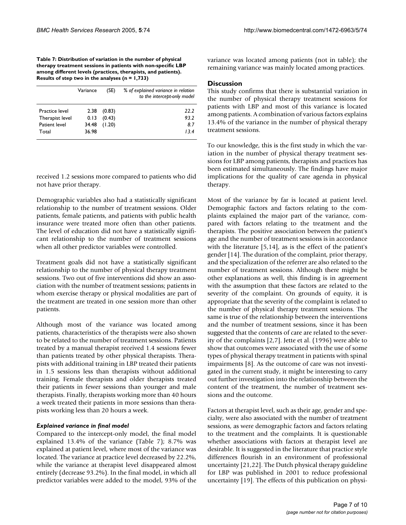| Table 7: Distribution of variation in the number of physical  |
|---------------------------------------------------------------|
| therapy treatment sessions in patients with non-specific LBP  |
| among different levels (practices, therapists, and patients). |
| Results of step two in the analyses ( $n = 1,733$ )           |

|                                                    | Variance              | (SE)                       | % of explained variance in relation<br>to the intercept-only model |
|----------------------------------------------------|-----------------------|----------------------------|--------------------------------------------------------------------|
| Practice level<br>Therapist level<br>Patient level | 2.38<br>0.13<br>34.48 | (0.83)<br>(0.43)<br>(1.20) | 22.2<br>93.2<br>8.7                                                |
| Total                                              | 36.98                 |                            | 13.4                                                               |

received 1.2 sessions more compared to patients who did not have prior therapy.

Demographic variables also had a statistically significant relationship to the number of treatment sessions. Older patients, female patients, and patients with public health insurance were treated more often than other patients. The level of education did not have a statistically significant relationship to the number of treatment sessions when all other predictor variables were controlled.

Treatment goals did not have a statistically significant relationship to the number of physical therapy treatment sessions. Two out of five interventions did show an association with the number of treatment sessions; patients in whom exercise therapy or physical modalities are part of the treatment are treated in one session more than other patients.

Although most of the variance was located among patients, characteristics of the therapists were also shown to be related to the number of treatment sessions. Patients treated by a manual therapist received 1.4 sessions fewer than patients treated by other physical therapists. Therapists with additional training in LBP treated their patients in 1.5 sessions less than therapists without additional training. Female therapists and older therapists treated their patients in fewer sessions than younger and male therapists. Finally, therapists working more than 40 hours a week treated their patients in more sessions than therapists working less than 20 hours a week.

# *Explained variance in final model*

Compared to the intercept-only model, the final model explained 13.4% of the variance (Table 7); 8.7% was explained at patient level, where most of the variance was located. The variance at practice level decreased by 22.2%, while the variance at therapist level disappeared almost entirely (decrease 93.2%). In the final model, in which all predictor variables were added to the model, 93% of the variance was located among patients (not in table); the remaining variance was mainly located among practices.

#### **Discussion**

This study confirms that there is substantial variation in the number of physical therapy treatment sessions for patients with LBP and most of this variance is located among patients. A combination of various factors explains 13.4% of the variance in the number of physical therapy treatment sessions.

To our knowledge, this is the first study in which the variation in the number of physical therapy treatment sessions for LBP among patients, therapists and practices has been estimated simultaneously. The findings have major implications for the quality of care agenda in physical therapy.

Most of the variance by far is located at patient level. Demographic factors and factors relating to the complaints explained the major part of the variance, compared with factors relating to the treatment and the therapists. The positive association between the patient's age and the number of treatment sessions is in accordance with the literature [5,14], as is the effect of the patient's gender [14]. The duration of the complaint, prior therapy, and the specialization of the referrer are also related to the number of treatment sessions. Although there might be other explanations as well, this finding is in agreement with the assumption that these factors are related to the severity of the complaint. On grounds of equity, it is appropriate that the severity of the complaint is related to the number of physical therapy treatment sessions. The same is true of the relationship between the interventions and the number of treatment sessions, since it has been suggested that the contents of care are related to the severity of the complaints [2,7]. Jette et al. (1996) were able to show that outcomes were associated with the use of some types of physical therapy treatment in patients with spinal impairments [8]. As the outcome of care was not investigated in the current study, it might be interesting to carry out further investigation into the relationship between the content of the treatment, the number of treatment sessions and the outcome.

Factors at therapist level, such as their age, gender and specialty, were also associated with the number of treatment sessions, as were demographic factors and factors relating to the treatment and the complaints. It is questionable whether associations with factors at therapist level are desirable. It is suggested in the literature that practice style differences flourish in an environment of professional uncertainty [21,22]. The Dutch physical therapy guideline for LBP was published in 2001 to reduce professional uncertainty [19]. The effects of this publication on physi-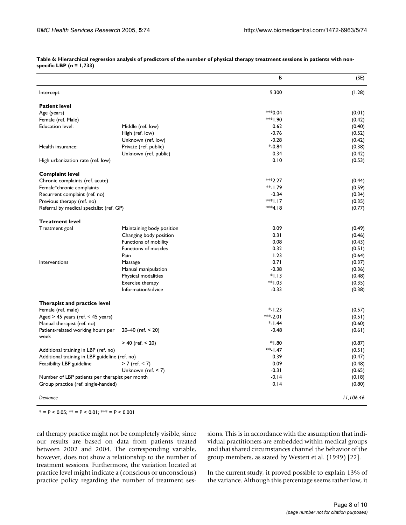|                                                |                                        | В           | (SE)      |
|------------------------------------------------|----------------------------------------|-------------|-----------|
| Intercept                                      |                                        | 9.300       | (1.28)    |
| <b>Patient level</b>                           |                                        |             |           |
| Age (years)                                    |                                        | ***0.04     | (0.01)    |
| Female (ref. Male)                             |                                        | ***1.90     | (0.42)    |
| <b>Education level:</b>                        | Middle (ref. low)                      | 0.62        | (0.40)    |
|                                                | High (ref. low)                        | $-0.76$     | (0.52)    |
|                                                | Unknown (ref. low)                     | $-0.28$     | (0.42)    |
| Health insurance:                              | Private (ref. public)                  | $*$ -0.84   | (0.38)    |
|                                                | Unknown (ref. public)                  | 0.34        | (0.42)    |
| High urbanization rate (ref. low)              |                                        | 0.10        | (0.53)    |
|                                                |                                        |             |           |
| <b>Complaint level</b>                         |                                        |             |           |
| Chronic complaints (ref. acute)                |                                        | ***2.27     | (0.44)    |
| Female*chronic complaints                      |                                        | **-1.79     | (0.59)    |
| Recurrent complaint (ref. no)                  |                                        | $-0.34$     | (0.34)    |
| Previous therapy (ref. no)                     |                                        | ***I.I7     | (0.35)    |
| Referral by medical specialist (ref. GP)       |                                        | **4.18      | (0.77)    |
| <b>Treatment level</b>                         |                                        |             |           |
| Treatment goal                                 | Maintaining body position              | 0.09        | (0.49)    |
|                                                | Changing body position                 | 0.31        | (0.46)    |
|                                                | Functions of mobility                  | 0.08        | (0.43)    |
|                                                | Functions of muscles                   | 0.32        | (0.51)    |
|                                                | Pain                                   | 1.23        | (0.64)    |
| Interventions                                  | Massage                                | 0.71        | (0.37)    |
|                                                | Manual manipulation                    | $-0.38$     | (0.36)    |
|                                                | Physical modalities                    | $*1.13$     | (0.48)    |
|                                                |                                        | $*$ 1.03    |           |
|                                                | Exercise therapy<br>Information/advice | $-0.33$     | (0.35)    |
|                                                |                                        |             | (0.38)    |
| Therapist and practice level                   |                                        |             |           |
| Female (ref. male)                             |                                        | $*$ -1.23   | (0.57)    |
| Aged $>$ 45 years (ref. $<$ 45 years)          |                                        | ***-2.01    | (0.51)    |
| Manual therapist (ref. no)                     |                                        | $*$ -1.44   | (0.60)    |
| Patient-related working hours per<br>week      | 20-40 (ref. $<$ 20)                    | $-0.48$     | (0.61)    |
|                                                | $> 40$ (ref. $< 20$ )                  | $*1.80$     | (0.87)    |
| Additional training in LBP (ref. no)           |                                        | $** - 1.47$ | (0.51)    |
| Additional training in LBP guideline (ref. no) |                                        | 0.39        | (0.47)    |
| Feasibility LBP guideline                      | $> 7$ (ref. < 7)                       | 0.09        | (0.48)    |
|                                                | Unknown (ref. $<$ 7)                   | $-0.31$     | (0.65)    |
| Number of LBP patients per therapist per month |                                        | $-0.14$     | (0.18)    |
| Group practice (ref. single-handed)            |                                        | 0.14        | (0.80)    |
| Deviance                                       |                                        |             | 11,106.46 |

**Table 6: Hierarchical regression analysis of predictors of the number of physical therapy treatment sessions in patients with nonspecific LBP (n = 1,733)**

 $* = P < 0.05$ ;  $** = P < 0.01$ ;  $*** = P < 0.001$ 

cal therapy practice might not be completely visible, since our results are based on data from patients treated between 2002 and 2004. The corresponding variable, however, does not show a relationship to the number of treatment sessions. Furthermore, the variation located at practice level might indicate a (conscious or unconscious) practice policy regarding the number of treatment sessions. This is in accordance with the assumption that individual practitioners are embedded within medical groups and that shared circumstances channel the behavior of the group members, as stated by Westert et al. (1999) [22].

In the current study, it proved possible to explain 13% of the variance. Although this percentage seems rather low, it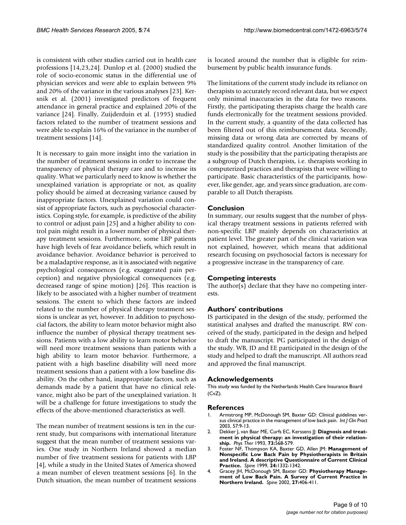is consistent with other studies carried out in health care professions [14,23,24]. Dunlop et al. (2000) studied the role of socio-economic status in the differential use of physician services and were able to explain between 9% and 20% of the variance in the various analyses [23]. Kersnik et al. (2001) investigated predictors of frequent attendance in general practice and explained 20% of the variance [24]. Finally, Zuijderduin et al. (1995) studied factors related to the number of treatment sessions and were able to explain 16% of the variance in the number of treatment sessions [14].

It is necessary to gain more insight into the variation in the number of treatment sessions in order to increase the transparency of physical therapy care and to increase its quality. What we particularly need to know is whether the unexplained variation is appropriate or not, as quality policy should be aimed at decreasing variance caused by inappropriate factors. Unexplained variation could consist of appropriate factors, such as psychosocial characteristics. Coping style, for example, is predictive of the ability to control or adjust pain [25] and a higher ability to control pain might result in a lower number of physical therapy treatment sessions. Furthermore, some LBP patients have high levels of fear avoidance beliefs, which result in avoidance behavior. Avoidance behavior is perceived to be a maladaptive response, as it is associated with negative psychological consequences (e.g. exaggerated pain perception) and negative physiological consequences (e.g. decreased range of spine motion) [26]. This reaction is likely to be associated with a higher number of treatment sessions. The extent to which these factors are indeed related to the number of physical therapy treatment sessions is unclear as yet, however. In addition to psychosocial factors, the ability to learn motor behavior might also influence the number of physical therapy treatment sessions. Patients with a low ability to learn motor behavior will need more treatment sessions than patients with a high ability to learn motor behavior. Furthermore, a patient with a high baseline disability will need more treatment sessions than a patient with a low baseline disability. On the other hand, inappropriate factors, such as demands made by a patient that have no clinical relevance, might also be part of the unexplained variation. It will be a challenge for future investigations to study the effects of the above-mentioned characteristics as well.

The mean number of treatment sessions is ten in the current study, but comparisons with international literature suggest that the mean number of treatment sessions varies. One study in Northern Ireland showed a median number of five treatment sessions for patients with LBP [4], while a study in the United States of America showed a mean number of eleven treatment sessions [6]. In the Dutch situation, the mean number of treatment sessions is located around the number that is eligible for reimbursement by public health insurance funds.

The limitations of the current study include its reliance on therapists to accurately record relevant data, but we expect only minimal inaccuracies in the data for two reasons. Firstly, the participating therapists charge the health care funds electronically for the treatment sessions provided. In the current study, a quantity of the data collected has been filtered out of this reimbursement data. Secondly, missing data or wrong data are corrected by means of standardized quality control. Another limitation of the study is the possibility that the participating therapists are a subgroup of Dutch therapists, i.e. therapists working in computerized practices and therapists that were willing to participate. Basic characteristics of the participants, however, like gender, age, and years since graduation, are comparable to all Dutch therapists.

# **Conclusion**

In summary, our results suggest that the number of physical therapy treatment sessions in patients referred with non-specific LBP mainly depends on characteristics at patient level. The greater part of the clinical variation was not explained, however, which means that additional research focusing on psychosocial factors is necessary for a progressive increase in the transparency of care.

# **Competing interests**

The author(s) declare that they have no competing interests.

# **Authors' contributions**

IS participated in the design of the study, performed the statistical analyses and drafted the manuscript. RW conceived of the study, participated in the design and helped to draft the manuscript. PG participated in the design of the study. WB, JD and EE participated in the design of the study and helped to draft the manuscript. All authors read and approved the final manuscript.

#### **Acknowledgements**

This study was funded by the Netherlands Health Care Insurance Board (CvZ).

#### **References**

- 1. Armstrong MP, McDonough SM, Baxter GD: [Clinical guidelines ver](http://www.ncbi.nlm.nih.gov/entrez/query.fcgi?cmd=Retrieve&db=PubMed&dopt=Abstract&list_uids=12587934)[sus clinical practice in the management of low back pain.](http://www.ncbi.nlm.nih.gov/entrez/query.fcgi?cmd=Retrieve&db=PubMed&dopt=Abstract&list_uids=12587934) *Int J Clin Pract* 2003, 57:9-13.
- 2. Dekker J, van Baar ME, Curfs EC, Kerssens JJ: **[Diagnosis and treat](http://www.ncbi.nlm.nih.gov/entrez/query.fcgi?cmd=Retrieve&db=PubMed&dopt=Abstract&list_uids=8356106)[ment in physical therapy: an investigation of their relation](http://www.ncbi.nlm.nih.gov/entrez/query.fcgi?cmd=Retrieve&db=PubMed&dopt=Abstract&list_uids=8356106)[ship.](http://www.ncbi.nlm.nih.gov/entrez/query.fcgi?cmd=Retrieve&db=PubMed&dopt=Abstract&list_uids=8356106)** *Phys Ther* 1993, **73:**568-579.
- 3. Foster NF, Thompson KA, Baxter GD, Allen JM: **[Management of](http://www.ncbi.nlm.nih.gov/entrez/query.fcgi?cmd=Retrieve&db=PubMed&dopt=Abstract&list_uids=10404576) Nonspecific Low Back Pain by Physiotherapists in Britain [and Ireland. A descriptive Questionnaire of Current Clinical](http://www.ncbi.nlm.nih.gov/entrez/query.fcgi?cmd=Retrieve&db=PubMed&dopt=Abstract&list_uids=10404576) [Practice.](http://www.ncbi.nlm.nih.gov/entrez/query.fcgi?cmd=Retrieve&db=PubMed&dopt=Abstract&list_uids=10404576)** *Spine* 1999, **24:**1332-1342.
- 4. Gracey JH, McDonough SM, Baxter GD: **[Physiotherapy Manage](http://www.ncbi.nlm.nih.gov/entrez/query.fcgi?cmd=Retrieve&db=PubMed&dopt=Abstract&list_uids=11840108)[ment of Low Back Pain. A Survey of Current Practice in](http://www.ncbi.nlm.nih.gov/entrez/query.fcgi?cmd=Retrieve&db=PubMed&dopt=Abstract&list_uids=11840108) [Northern Ireland.](http://www.ncbi.nlm.nih.gov/entrez/query.fcgi?cmd=Retrieve&db=PubMed&dopt=Abstract&list_uids=11840108)** *Spine* 2002, **27:**406-411.